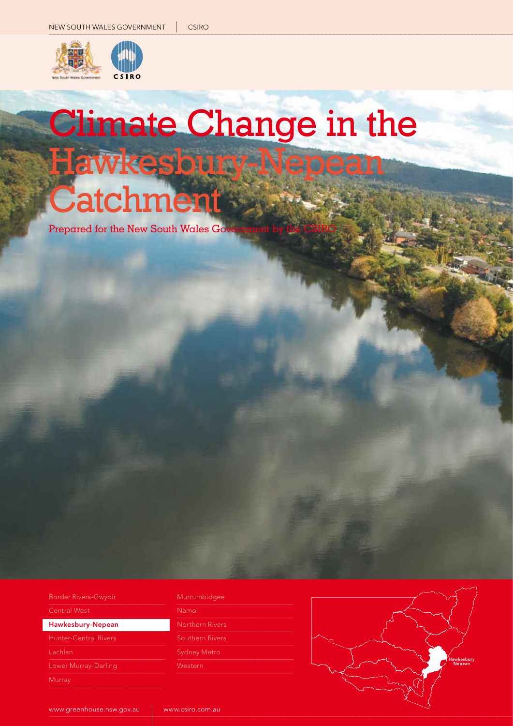

# Climate Change in the Hawkesbury-Nepean Catchment

Prepared for the New South Wales Go

| Hawkesbury-Nepean           |  |  |  |
|-----------------------------|--|--|--|
| <b>Central West</b>         |  |  |  |
| <b>Border Rivers-Gwydir</b> |  |  |  |

Lachlan

#### Murrumbidgee

 www.csiro.com.au

Namoi Sydney Metro

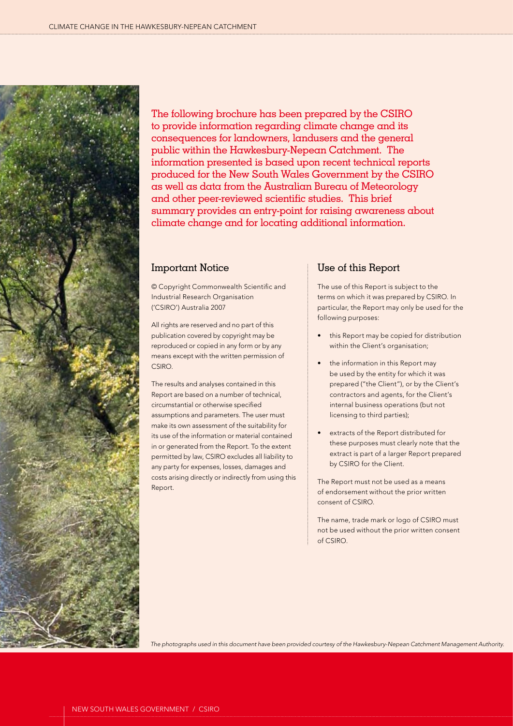

The following brochure has been prepared by the CSIRO to provide information regarding climate change and its consequences for landowners, landusers and the general public within the Hawkesbury-Nepean Catchment. The information presented is based upon recent technical reports produced for the New South Wales Government by the CSIRO as well as data from the Australian Bureau of Meteorology and other peer-reviewed scientific studies. This brief summary provides an entry-point for raising awareness about climate change and for locating additional information.

### Important Notice

© Copyright Commonwealth Scientific and Industrial Research Organisation ('CSIRO') Australia 2007

All rights are reserved and no part of this publication covered by copyright may be reproduced or copied in any form or by any means except with the written permission of CSIRO.

The results and analyses contained in this Report are based on a number of technical, circumstantial or otherwise specified assumptions and parameters. The user must make its own assessment of the suitability for its use of the information or material contained in or generated from the Report. To the extent permitted by law, CSIRO excludes all liability to any party for expenses, losses, damages and costs arising directly or indirectly from using this Report.

### Use of this Report

The use of this Report is subject to the terms on which it was prepared by CSIRO. In particular, the Report may only be used for the following purposes:

- this Report may be copied for distribution within the Client's organisation;
- the information in this Report may be used by the entity for which it was prepared ("the Client"), or by the Client's contractors and agents, for the Client's internal business operations (but not licensing to third parties);
- extracts of the Report distributed for these purposes must clearly note that the extract is part of a larger Report prepared by CSIRO for the Client.

The Report must not be used as a means of endorsement without the prior written consent of CSIRO.

The name, trade mark or logo of CSIRO must not be used without the prior written consent of CSIRO.

*The photographs used in this document have been provided courtesy of the Hawkesbury-Nepean Catchment Management Authority.*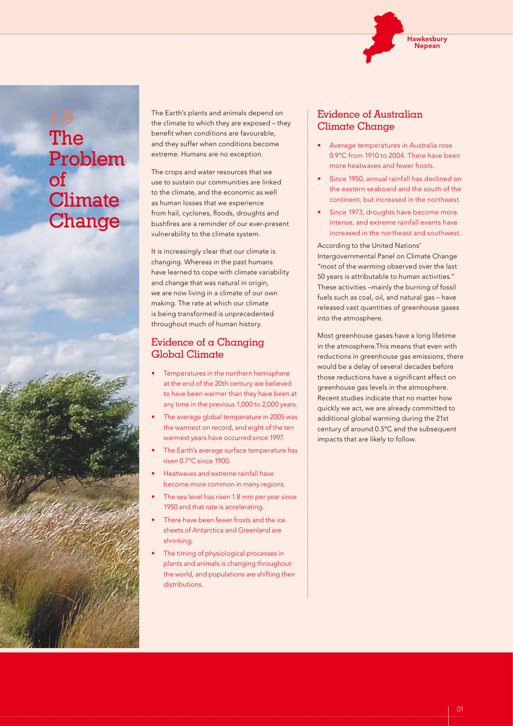

# The Problem of **Climate Change**

The Earth's plants and animals depend on the climate to which they are exposed – they benefit when conditions are favourable, and they suffer when conditions become extreme. Humans are no exception.

The crops and water resources that we use to sustain our communities are linked to the climate, and the economic as well as human losses that we experience from hail, cyclones, floods, droughts and bushfires are a reminder of our ever-present vulnerability to the climate system.

It is increasingly clear that our climate is changing. Whereas in the past humans have learned to cope with climate variability and change that was natural in origin, we are now living in a climate of our own making. The rate at which our climate is being transformed is unprecedented throughout much of human history.

### Evidence of a Changing Global Climate

- Temperatures in the northern hemisphere at the end of the 20th century are believed to have been warmer than they have been at any time in the previous 1,000 to 2,000 years.
- The average global temperature in 2005 was the warmest on record, and eight of the ten warmest years have occurred since 1997.
- The Earth's average surface temperature has risen 0.7°C since 1900.
- Heatwaves and extreme rainfall have become more common in many regions.
- The sea level has risen 1.8 mm per year since 1950 and that rate is accelerating.
- There have been fewer frosts and the ice sheets of Antarctica and Greenland are shrinking.
- The timing of physiological processes in plants and animals is changing throughout the world, and populations are shifting their distributions.

### Evidence of Australian Climate Change

- Average temperatures in Australia rose 0.9°C from 1910 to 2004. There have been more heatwaves and fewer frosts.
- Since 1950, annual rainfall has declined on the eastern seaboard and the south of the continent, but increased in the northwest.
- Since 1973, droughts have become more intense, and extreme rainfall events have increased in the northeast and southwest.

According to the United Nations' Intergovernmental Panel on Climate Change "most of the warming observed over the last 50 years is attributable to human activities." These activities –mainly the burning of fossil fuels such as coal, oil, and natural gas – have released vast quantities of greenhouse gases into the atmosphere.

Most greenhouse gases have a long lifetime in the atmosphere.This means that even with reductions in greenhouse gas emissions, there would be a delay of several decades before those reductions have a significant effect on greenhouse gas levels in the atmosphere. Recent studies indicate that no matter how quickly we act, we are already committed to additional global warming during the 21st century of around 0.5°C and the subsequent impacts that are likely to follow.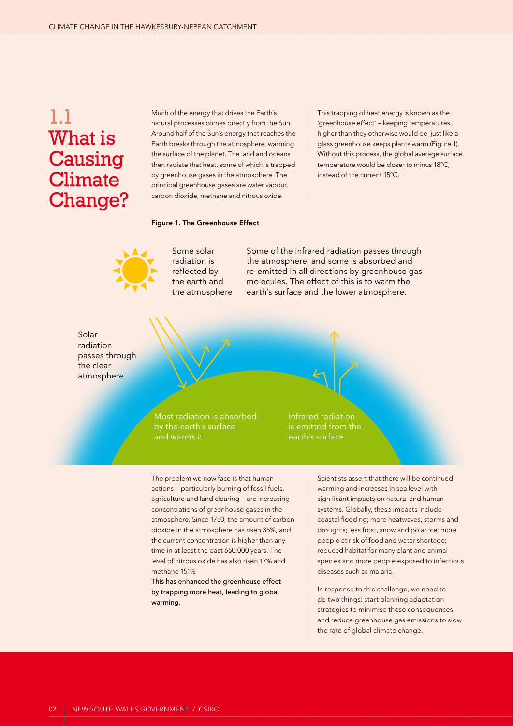# 1.1 What is **Causing Climate** Change?

Much of the energy that drives the Earth's natural processes comes directly from the Sun. Around half of the Sun's energy that reaches the Earth breaks through the atmosphere, warming the surface of the planet. The land and oceans then radiate that heat, some of which is trapped by greenhouse gases in the atmosphere. The principal greenhouse gases are water vapour, carbon dioxide, methane and nitrous oxide.

This trapping of heat energy is known as the 'greenhouse effect' – keeping temperatures higher than they otherwise would be, just like a glass greenhouse keeps plants warm (Figure 1). Without this process, the global average surface temperature would be closer to minus 18°C, instead of the current 15°C.

### Figure 1. The Greenhouse Effect



Some solar radiation is reflected by the earth and the atmosphere Some of the infrared radiation passes through the atmosphere, and some is absorbed and re-emitted in all directions by greenhouse gas molecules. The effect of this is to warm the earth's surface and the lower atmosphere.

Solar radiation passes through the clear atmosphere



Infrared radiation is emitted from the earth's surface

The problem we now face is that human actions—particularly burning of fossil fuels, agriculture and land clearing—are increasing concentrations of greenhouse gases in the atmosphere. Since 1750, the amount of carbon dioxide in the atmosphere has risen 35%, and the current concentration is higher than any time in at least the past 650,000 years. The level of nitrous oxide has also risen 17% and methane 151%

This has enhanced the greenhouse effect by trapping more heat, leading to global warming.

Scientists assert that there will be continued warming and increases in sea level with significant impacts on natural and human systems. Globally, these impacts include coastal flooding; more heatwaves, storms and droughts; less frost, snow and polar ice; more people at risk of food and water shortage; reduced habitat for many plant and animal species and more people exposed to infectious diseases such as malaria.

In response to this challenge, we need to do two things: start planning adaptation strategies to minimise those consequences, and reduce greenhouse gas emissions to slow the rate of global climate change.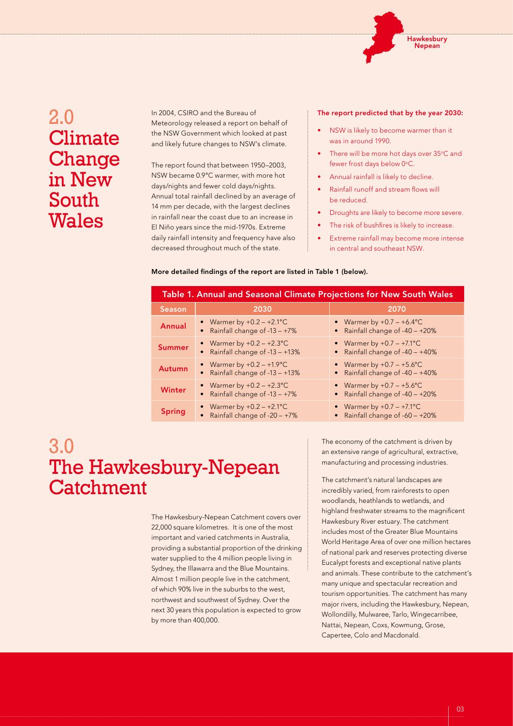

# 2.0 **Climate** Change in New South Wales

In 2004, CSIRO and the Bureau of Meteorology released a report on behalf of the NSW Government which looked at past and likely future changes to NSW's climate.

The report found that between 1950–2003, NSW became 0.9°C warmer, with more hot days/nights and fewer cold days/nights. Annual total rainfall declined by an average of 14 mm per decade, with the largest declines in rainfall near the coast due to an increase in El Niño years since the mid-1970s. Extreme daily rainfall intensity and frequency have also decreased throughout much of the state.

#### The report predicted that by the year 2030:

- NSW is likely to become warmer than it was in around 1990.
- There will be more hot days over 35°C and fewer frost days below 0°C.
- Annual rainfall is likely to decline.
- Rainfall runoff and stream flows will be reduced.
- Droughts are likely to become more severe.
- The risk of bushfires is likely to increase.
- Extreme rainfall may become more intense in central and southeast NSW.

#### More detailed findings of the report are listed in Table 1 (below).

| Table 1. Annual and Seasonal Climate Projections for New South Wales |                                                                   |                                                                    |  |  |
|----------------------------------------------------------------------|-------------------------------------------------------------------|--------------------------------------------------------------------|--|--|
| <b>Season</b>                                                        | 2030                                                              | 2070                                                               |  |  |
| <b>Annual</b>                                                        | • Warmer by $+0.2 - +2.1$ °C<br>Rainfall change of $-13 - +7\%$   | • Warmer by $+0.7 - +6.4$ °C<br>Rainfall change of $-40 - +20\%$   |  |  |
| <b>Summer</b>                                                        | • Warmer by $+0.2 - +2.3$ °C<br>Rainfall change of -13 - +13%     | • Warmer by $+0.7 - +7.1$ °C<br>Rainfall change of $-40 - +40\%$   |  |  |
| <b>Autumn</b>                                                        | • Warmer by $+0.2 - +1.9$ °C<br>Rainfall change of -13 - +13%     | • Warmer by $+0.7 - +5.6$ °C<br>Rainfall change of $-40 - +40\%$   |  |  |
| <b>Winter</b>                                                        | • Warmer by $+0.2 - +2.3$ °C<br>Rainfall change of $-13 - +7\%$   | • Warmer by $+0.7 - +5.6$ °C<br>Rainfall change of $-40 - +20\%$   |  |  |
| <b>Spring</b>                                                        | • Warmer by $+0.2 - +2.1$ °C<br>• Rainfall change of $-20 - +7\%$ | • Warmer by $+0.7 - +7.1$ °C<br>• Rainfall change of $-60 - +20\%$ |  |  |

# 3.0 The Hawkesbury-Nepean **Catchment**

The Hawkesbury-Nepean Catchment covers over 22,000 square kilometres. It is one of the most important and varied catchments in Australia, providing a substantial proportion of the drinking water supplied to the 4 million people living in Sydney, the Illawarra and the Blue Mountains. Almost 1 million people live in the catchment, of which 90% live in the suburbs to the west, northwest and southwest of Sydney. Over the next 30 years this population is expected to grow by more than 400,000.

The economy of the catchment is driven by an extensive range of agricultural, extractive, manufacturing and processing industries.

The catchment's natural landscapes are incredibly varied, from rainforests to open woodlands, heathlands to wetlands, and highland freshwater streams to the magnificent Hawkesbury River estuary. The catchment includes most of the Greater Blue Mountains World Heritage Area of over one million hectares of national park and reserves protecting diverse Eucalypt forests and exceptional native plants and animals. These contribute to the catchment's many unique and spectacular recreation and tourism opportunities. The catchment has many major rivers, including the Hawkesbury, Nepean, Wollondilly, Mulwaree, Tarlo, Wingecarribee, Nattai, Nepean, Coxs, Kowmung, Grose, Capertee, Colo and Macdonald.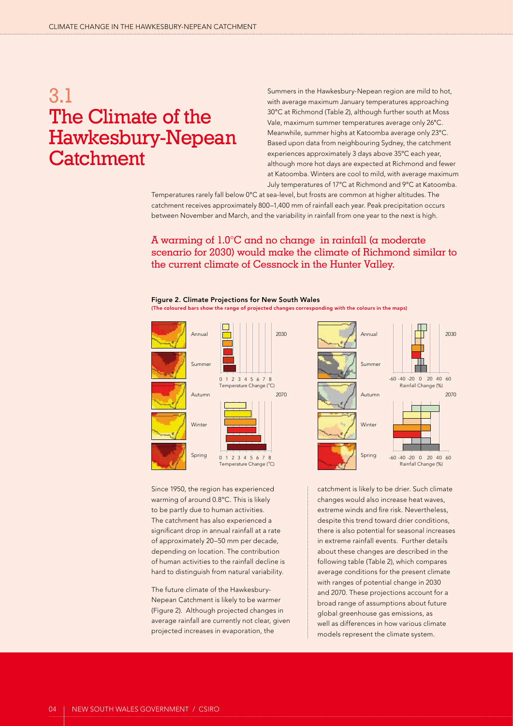# 3.1 The Climate of the Hawkesbury-Nepean **Catchment**

Summers in the Hawkesbury-Nepean region are mild to hot, with average maximum January temperatures approaching 30°C at Richmond (Table 2), although further south at Moss Vale, maximum summer temperatures average only 26°C. Meanwhile, summer highs at Katoomba average only 23°C. Based upon data from neighbouring Sydney, the catchment experiences approximately 3 days above 35ºC each year, although more hot days are expected at Richmond and fewer at Katoomba. Winters are cool to mild, with average maximum July temperatures of 17°C at Richmond and 9°C at Katoomba.

Temperatures rarely fall below 0°C at sea-level, but frosts are common at higher altitudes. The catchment receives approximately 800–1,400 mm of rainfall each year. Peak precipitation occurs between November and March, and the variability in rainfall from one year to the next is high.

### A warming of 1.0°C and no change in rainfall (a moderate scenario for 2030) would make the climate of Richmond similar to the current climate of Cessnock in the Hunter Valley.

Figure 2. Climate Projections for New South Wales (The coloured bars show the range of projected changes corresponding with the colours in the maps)

2030

2070



Since 1950, the region has experienced warming of around 0.8ºC. This is likely to be partly due to human activities. The catchment has also experienced a significant drop in annual rainfall at a rate of approximately 20–50 mm per decade, depending on location. The contribution of human activities to the rainfall decline is hard to distinguish from natural variability.

The future climate of the Hawkesbury-Nepean Catchment is likely to be warmer (Figure 2). Although projected changes in average rainfall are currently not clear, given projected increases in evaporation, the



catchment is likely to be drier. Such climate changes would also increase heat waves, extreme winds and fire risk. Nevertheless, despite this trend toward drier conditions, there is also potential for seasonal increases in extreme rainfall events. Further details about these changes are described in the following table (Table 2), which compares average conditions for the present climate with ranges of potential change in 2030 and 2070. These projections account for a broad range of assumptions about future global greenhouse gas emissions, as well as differences in how various climate models represent the climate system.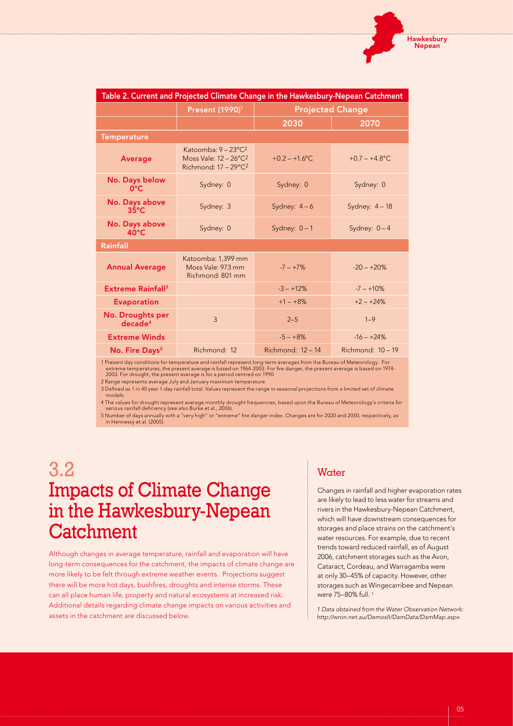| Table 2. Current and Projected Climate Change in the Hawkesbury-Nepean Catchment |                                                                                                        |                         |                     |  |
|----------------------------------------------------------------------------------|--------------------------------------------------------------------------------------------------------|-------------------------|---------------------|--|
|                                                                                  | Present (1990) <sup>1</sup>                                                                            | <b>Projected Change</b> |                     |  |
|                                                                                  |                                                                                                        | 2030                    | 2070                |  |
| <b>Temperature</b>                                                               |                                                                                                        |                         |                     |  |
| <b>Average</b>                                                                   | Katoomba: 9 - 23°C <sup>2</sup><br>Moss Vale: 12 - 26°C <sup>2</sup><br>Richmond: $17 - 29^{\circ}C^2$ | $+0.2 - +1.6$ °C.       | $+0.7 - +4.8$ °C    |  |
| No. Days below<br>$0^{\circ}$ C                                                  | Sydney: 0                                                                                              | Sydney: 0               | Sydney: 0           |  |
| No. Days above<br>$35^{\circ}$ C                                                 | Sydney: 3                                                                                              | Sydney: $4-6$           | Sydney: $4-18$      |  |
| No. Days above<br>$40^{\circ}$ C                                                 | Sydney: 0                                                                                              | Sydney: $0 - 1$         | Sydney: $0 - 4$     |  |
| Rainfall                                                                         |                                                                                                        |                         |                     |  |
| <b>Annual Average</b>                                                            | Katoomba: 1,399 mm<br>Moss Vale: 973 mm<br>Richmond: 801 mm                                            | $-7 - +7%$              | $-20 - +20%$        |  |
| <b>Extreme Rainfall<sup>3</sup></b>                                              |                                                                                                        | $-3 - +12%$             | $-7 - +10\%$        |  |
| <b>Evaporation</b>                                                               |                                                                                                        | $+1 - +8%$              | $+2 - +24%$         |  |
| No. Droughts per<br>decade <sup>4</sup>                                          | $\overline{3}$                                                                                         | $2 - 5$                 | $1 - 9$             |  |
| <b>Extreme Winds</b>                                                             |                                                                                                        | $-5 - +8%$              | $-16 - +24%$        |  |
| No. Fire Days <sup>5</sup>                                                       | Richmond: 12                                                                                           | Richmond: $12 - 14$     | Richmond: $10 - 19$ |  |

1 Present day conditions for temperature and rainfall represent long-term averages from the Bureau of Meteorology. For<br>extreme temperatures, the present average is based on 1964-2003. For fire danger, the present average i

2 Range represents average July and January maximum temperature.

3 Defined as 1 in 40 year 1-day rainfall total. Values represent the range in seasonal projections from a limited set of climate models.

4 The values for drought represent average monthly drought frequencies, based upon the Bureau of Meteorology's criteria for serious rainfall deficiency (see also Burke et al., 2006).

5 Number of days annually with a "very high" or "extreme" fire danger index. Changes are for 2020 and 2050, respectively, as in Hennessy et al. (2005).

# 3.2 Impacts of Climate Change in the Hawkesbury-Nepean **Catchment**

Although changes in average temperature, rainfall and evaporation will have long-term consequences for the catchment, the impacts of climate change are more likely to be felt through extreme weather events. Projections suggest there will be more hot days, bushfires, droughts and intense storms. These can all place human life, property and natural ecosystems at increased risk. Additional details regarding climate change impacts on various activities and assets in the catchment are discussed below.

### Water

Changes in rainfall and higher evaporation rates are likely to lead to less water for streams and rivers in the Hawkesbury-Nepean Catchment, which will have downstream consequences for storages and place strains on the catchment's water resources. For example, due to recent trends toward reduced rainfall, as of August 2006, catchment storages such as the Avon, Cataract, Cordeau, and Warragamba were at only 30–45% of capacity. However, other storages such as Wingecarribee and Nepean were 75–80% full. 1

*1 Data obtained from the Water Observation Network: http://wron.net.au/DemosII/DamData/DamMap.aspx*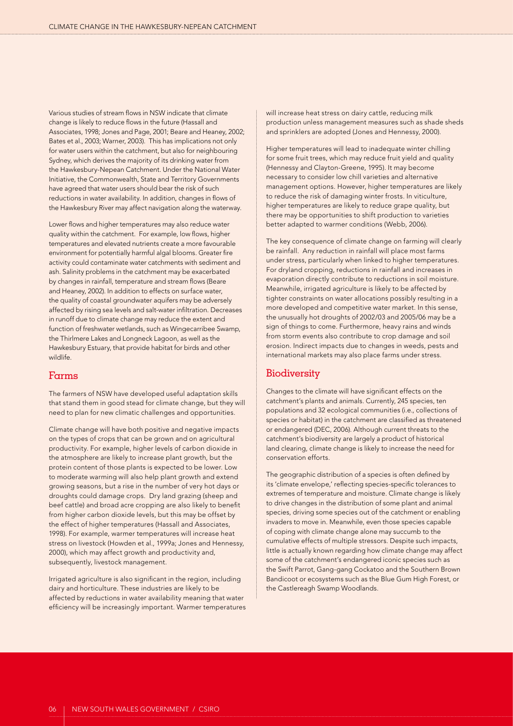Various studies of stream flows in NSW indicate that climate change is likely to reduce flows in the future (Hassall and Associates, 1998; Jones and Page, 2001; Beare and Heaney, 2002; Bates et al., 2003; Warner, 2003). This has implications not only for water users within the catchment, but also for neighbouring Sydney, which derives the majority of its drinking water from the Hawkesbury-Nepean Catchment. Under the National Water Initiative, the Commonwealth, State and Territory Governments have agreed that water users should bear the risk of such reductions in water availability. In addition, changes in flows of the Hawkesbury River may affect navigation along the waterway.

Lower flows and higher temperatures may also reduce water quality within the catchment. For example, low flows, higher temperatures and elevated nutrients create a more favourable environment for potentially harmful algal blooms. Greater fire activity could contaminate water catchments with sediment and ash. Salinity problems in the catchment may be exacerbated by changes in rainfall, temperature and stream flows (Beare and Heaney, 2002). In addition to effects on surface water, the quality of coastal groundwater aquifers may be adversely affected by rising sea levels and salt-water infiltration. Decreases in runoff due to climate change may reduce the extent and function of freshwater wetlands, such as Wingecarribee Swamp, the Thirlmere Lakes and Longneck Lagoon, as well as the Hawkesbury Estuary, that provide habitat for birds and other wildlife.

### Farms

The farmers of NSW have developed useful adaptation skills that stand them in good stead for climate change, but they will need to plan for new climatic challenges and opportunities.

Climate change will have both positive and negative impacts on the types of crops that can be grown and on agricultural productivity. For example, higher levels of carbon dioxide in the atmosphere are likely to increase plant growth, but the protein content of those plants is expected to be lower. Low to moderate warming will also help plant growth and extend growing seasons, but a rise in the number of very hot days or droughts could damage crops. Dry land grazing (sheep and beef cattle) and broad acre cropping are also likely to benefit from higher carbon dioxide levels, but this may be offset by the effect of higher temperatures (Hassall and Associates, 1998). For example, warmer temperatures will increase heat stress on livestock (Howden et al., 1999a; Jones and Hennessy, 2000), which may affect growth and productivity and, subsequently, livestock management.

Irrigated agriculture is also significant in the region, including dairy and horticulture. These industries are likely to be affected by reductions in water availability meaning that water efficiency will be increasingly important. Warmer temperatures will increase heat stress on dairy cattle, reducing milk production unless management measures such as shade sheds and sprinklers are adopted (Jones and Hennessy, 2000).

Higher temperatures will lead to inadequate winter chilling for some fruit trees, which may reduce fruit yield and quality (Hennessy and Clayton-Greene, 1995). It may become necessary to consider low chill varieties and alternative management options. However, higher temperatures are likely to reduce the risk of damaging winter frosts. In viticulture, higher temperatures are likely to reduce grape quality, but there may be opportunities to shift production to varieties better adapted to warmer conditions (Webb, 2006).

The key consequence of climate change on farming will clearly be rainfall. Any reduction in rainfall will place most farms under stress, particularly when linked to higher temperatures. For dryland cropping, reductions in rainfall and increases in evaporation directly contribute to reductions in soil moisture. Meanwhile, irrigated agriculture is likely to be affected by tighter constraints on water allocations possibly resulting in a more developed and competitive water market. In this sense, the unusually hot droughts of 2002/03 and 2005/06 may be a sign of things to come. Furthermore, heavy rains and winds from storm events also contribute to crop damage and soil erosion. Indirect impacts due to changes in weeds, pests and international markets may also place farms under stress.

### **Biodiversity**

Changes to the climate will have significant effects on the catchment's plants and animals. Currently, 245 species, ten populations and 32 ecological communities (i.e., collections of species or habitat) in the catchment are classified as threatened or endangered (DEC, 2006). Although current threats to the catchment's biodiversity are largely a product of historical land clearing, climate change is likely to increase the need for conservation efforts.

The geographic distribution of a species is often defined by its 'climate envelope,' reflecting species-specific tolerances to extremes of temperature and moisture. Climate change is likely to drive changes in the distribution of some plant and animal species, driving some species out of the catchment or enabling invaders to move in. Meanwhile, even those species capable of coping with climate change alone may succumb to the cumulative effects of multiple stressors. Despite such impacts, little is actually known regarding how climate change may affect some of the catchment's endangered iconic species such as the Swift Parrot, Gang-gang Cockatoo and the Southern Brown Bandicoot or ecosystems such as the Blue Gum High Forest, or the Castlereagh Swamp Woodlands.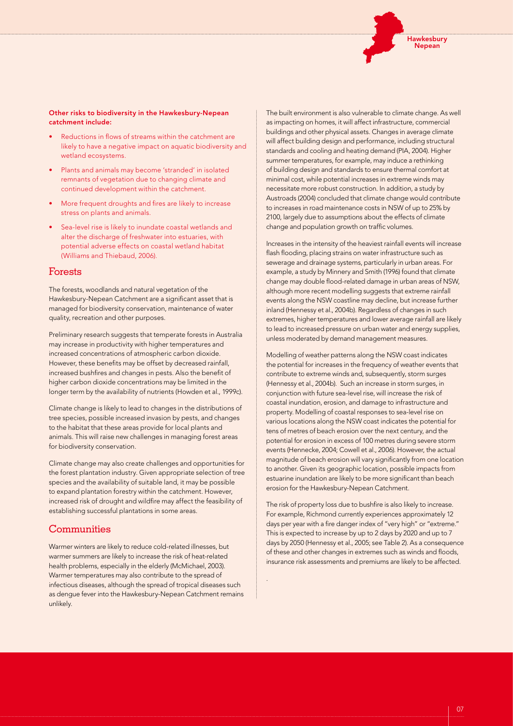

#### Other risks to biodiversity in the Hawkesbury-Nepean catchment include:

- Reductions in flows of streams within the catchment are likely to have a negative impact on aquatic biodiversity and wetland ecosystems.
- Plants and animals may become 'stranded' in isolated remnants of vegetation due to changing climate and continued development within the catchment.
- More frequent droughts and fires are likely to increase stress on plants and animals.
- Sea-level rise is likely to inundate coastal wetlands and alter the discharge of freshwater into estuaries, with potential adverse effects on coastal wetland habitat (Williams and Thiebaud, 2006).

### Forests

The forests, woodlands and natural vegetation of the Hawkesbury-Nepean Catchment are a significant asset that is managed for biodiversity conservation, maintenance of water quality, recreation and other purposes.

Preliminary research suggests that temperate forests in Australia may increase in productivity with higher temperatures and increased concentrations of atmospheric carbon dioxide. However, these benefits may be offset by decreased rainfall, increased bushfires and changes in pests. Also the benefit of higher carbon dioxide concentrations may be limited in the longer term by the availability of nutrients (Howden et al., 1999c).

Climate change is likely to lead to changes in the distributions of tree species, possible increased invasion by pests, and changes to the habitat that these areas provide for local plants and animals. This will raise new challenges in managing forest areas for biodiversity conservation.

Climate change may also create challenges and opportunities for the forest plantation industry. Given appropriate selection of tree species and the availability of suitable land, it may be possible to expand plantation forestry within the catchment. However, increased risk of drought and wildfire may affect the feasibility of establishing successful plantations in some areas.

### **Communities**

Warmer winters are likely to reduce cold-related illnesses, but warmer summers are likely to increase the risk of heat-related health problems, especially in the elderly (McMichael, 2003). Warmer temperatures may also contribute to the spread of infectious diseases, although the spread of tropical diseases such as dengue fever into the Hawkesbury-Nepean Catchment remains unlikely.

The built environment is also vulnerable to climate change. As well as impacting on homes, it will affect infrastructure, commercial buildings and other physical assets. Changes in average climate will affect building design and performance, including structural standards and cooling and heating demand (PIA, 2004). Higher summer temperatures, for example, may induce a rethinking of building design and standards to ensure thermal comfort at minimal cost, while potential increases in extreme winds may necessitate more robust construction. In addition, a study by Austroads (2004) concluded that climate change would contribute to increases in road maintenance costs in NSW of up to 25% by 2100, largely due to assumptions about the effects of climate change and population growth on traffic volumes.

Increases in the intensity of the heaviest rainfall events will increase flash flooding, placing strains on water infrastructure such as sewerage and drainage systems, particularly in urban areas. For example, a study by Minnery and Smith (1996) found that climate change may double flood-related damage in urban areas of NSW, although more recent modelling suggests that extreme rainfall events along the NSW coastline may decline, but increase further inland (Hennessy et al., 2004b). Regardless of changes in such extremes, higher temperatures and lower average rainfall are likely to lead to increased pressure on urban water and energy supplies, unless moderated by demand management measures.

Modelling of weather patterns along the NSW coast indicates the potential for increases in the frequency of weather events that contribute to extreme winds and, subsequently, storm surges (Hennessy et al., 2004b). Such an increase in storm surges, in conjunction with future sea-level rise, will increase the risk of coastal inundation, erosion, and damage to infrastructure and property. Modelling of coastal responses to sea-level rise on various locations along the NSW coast indicates the potential for tens of metres of beach erosion over the next century, and the potential for erosion in excess of 100 metres during severe storm events (Hennecke, 2004; Cowell et al., 2006). However, the actual magnitude of beach erosion will vary significantly from one location to another. Given its geographic location, possible impacts from estuarine inundation are likely to be more significant than beach erosion for the Hawkesbury-Nepean Catchment.

The risk of property loss due to bushfire is also likely to increase. For example, Richmond currently experiences approximately 12 days per year with a fire danger index of "very high" or "extreme." This is expected to increase by up to 2 days by 2020 and up to 7 days by 2050 (Hennessy et al., 2005; see Table 2). As a consequence of these and other changes in extremes such as winds and floods, insurance risk assessments and premiums are likely to be affected.

.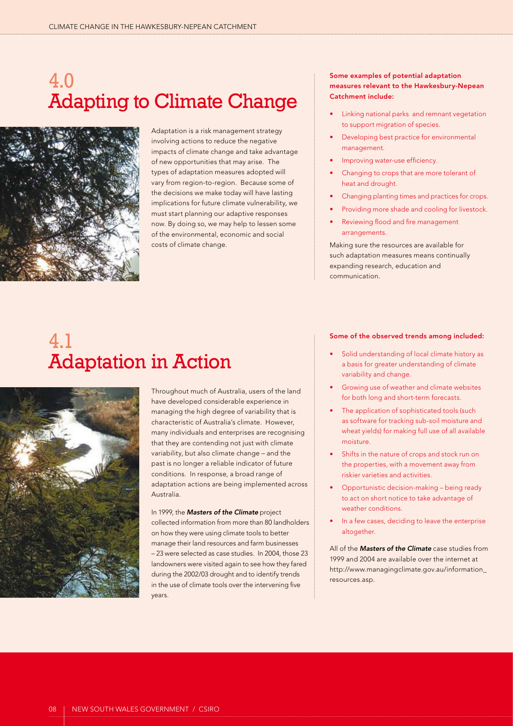# 4.0 Adapting to Climate Change



Adaptation is a risk management strategy involving actions to reduce the negative impacts of climate change and take advantage of new opportunities that may arise. The types of adaptation measures adopted will vary from region-to-region. Because some of the decisions we make today will have lasting implications for future climate vulnerability, we must start planning our adaptive responses now. By doing so, we may help to lessen some of the environmental, economic and social costs of climate change.

# 4.1 Adaptation in Action



Throughout much of Australia, users of the land have developed considerable experience in managing the high degree of variability that is characteristic of Australia's climate. However, many individuals and enterprises are recognising that they are contending not just with climate variability, but also climate change – and the past is no longer a reliable indicator of future conditions. In response, a broad range of adaptation actions are being implemented across Australia.

In 1999, the *Masters of the Climate* project collected information from more than 80 landholders on how they were using climate tools to better manage their land resources and farm businesses – 23 were selected as case studies. In 2004, those 23 landowners were visited again to see how they fared during the 2002/03 drought and to identify trends in the use of climate tools over the intervening five years.

### Some examples of potential adaptation measures relevant to the Hawkesbury-Nepean Catchment include:

- Linking national parks and remnant vegetation to support migration of species.
- Developing best practice for environmental management.
- Improving water-use efficiency.
- Changing to crops that are more tolerant of heat and drought.
- Changing planting times and practices for crops.
- Providing more shade and cooling for livestock.
- Reviewing flood and fire management arrangements.

Making sure the resources are available for such adaptation measures means continually expanding research, education and communication.

#### Some of the observed trends among included:

- Solid understanding of local climate history as a basis for greater understanding of climate variability and change.
- Growing use of weather and climate websites for both long and short-term forecasts.
- The application of sophisticated tools (such as software for tracking sub-soil moisture and wheat yields) for making full use of all available moisture.
- Shifts in the nature of crops and stock run on the properties, with a movement away from riskier varieties and activities.
- Opportunistic decision-making being ready to act on short notice to take advantage of weather conditions.
- In a few cases, deciding to leave the enterprise altogether.

All of the *Masters of the Climate* case studies from 1999 and 2004 are available over the internet at http://www.managingclimate.gov.au/information\_ resources.asp.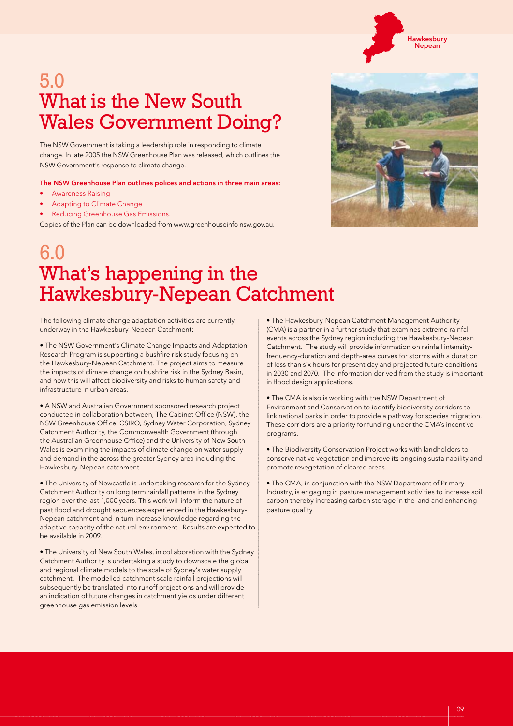#### Hawkesbury ...........<br>Nepean

# 5.0 What is the New South Wales Government Doing?

The NSW Government is taking a leadership role in responding to climate change. In late 2005 the NSW Greenhouse Plan was released, which outlines the NSW Government's response to climate change.

The NSW Greenhouse Plan outlines polices and actions in three main areas:

- **Awareness Raising**
- Adapting to Climate Change
- Reducing Greenhouse Gas Emissions.

Copies of the Plan can be downloaded from www.greenhouseinfo nsw.gov.au.



# 6.0 What's happening in the Hawkesbury-Nepean Catchment

The following climate change adaptation activities are currently underway in the Hawkesbury-Nepean Catchment:

• The NSW Government's Climate Change Impacts and Adaptation Research Program is supporting a bushfire risk study focusing on the Hawkesbury-Nepean Catchment. The project aims to measure the impacts of climate change on bushfire risk in the Sydney Basin, and how this will affect biodiversity and risks to human safety and infrastructure in urban areas.

• A NSW and Australian Government sponsored research project conducted in collaboration between, The Cabinet Office (NSW), the NSW Greenhouse Office, CSIRO, Sydney Water Corporation, Sydney Catchment Authority, the Commonwealth Government (through the Australian Greenhouse Office) and the University of New South Wales is examining the impacts of climate change on water supply and demand in the across the greater Sydney area including the Hawkesbury-Nepean catchment.

• The University of Newcastle is undertaking research for the Sydney Catchment Authority on long term rainfall patterns in the Sydney region over the last 1,000 years. This work will inform the nature of past flood and drought sequences experienced in the Hawkesbury-Nepean catchment and in turn increase knowledge regarding the adaptive capacity of the natural environment. Results are expected to be available in 2009.

• The University of New South Wales, in collaboration with the Sydney Catchment Authority is undertaking a study to downscale the global and regional climate models to the scale of Sydney's water supply catchment. The modelled catchment scale rainfall projections will subsequently be translated into runoff projections and will provide an indication of future changes in catchment yields under different greenhouse gas emission levels.

• The Hawkesbury-Nepean Catchment Management Authority (CMA) is a partner in a further study that examines extreme rainfall events across the Sydney region including the Hawkesbury-Nepean Catchment. The study will provide information on rainfall intensityfrequency-duration and depth-area curves for storms with a duration of less than six hours for present day and projected future conditions in 2030 and 2070. The information derived from the study is important in flood design applications.

• The CMA is also is working with the NSW Department of Environment and Conservation to identify biodiversity corridors to link national parks in order to provide a pathway for species migration. These corridors are a priority for funding under the CMA's incentive programs.

• The Biodiversity Conservation Project works with landholders to conserve native vegetation and improve its ongoing sustainability and promote revegetation of cleared areas.

• The CMA, in conjunction with the NSW Department of Primary Industry, is engaging in pasture management activities to increase soil carbon thereby increasing carbon storage in the land and enhancing pasture quality.